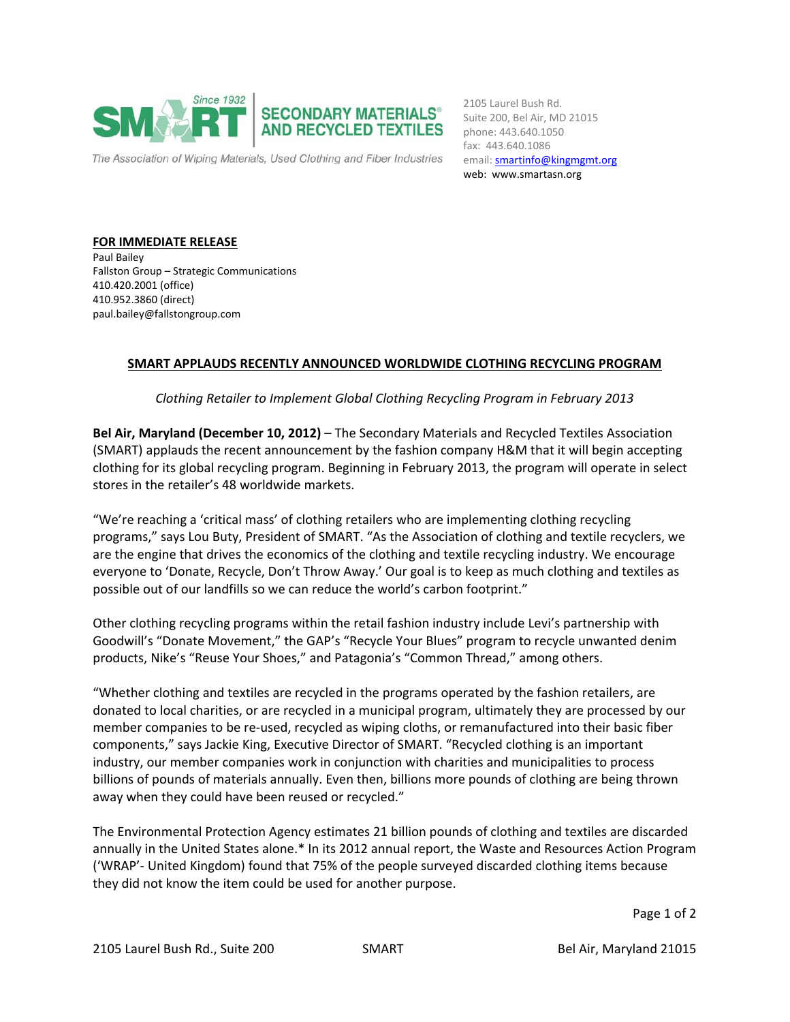

email: **smartinfo@kingmgmt.org** 2105 Laurel Bush Rd. Suite 200, Bel Air, MD 21015 phone: 443.640.1050 fax: 443.640.1086 web: www.smartasn.org

**FOR IMMEDIATE RELEASE** Paul Bailey Fallston Group – Strategic Communications 410.420.2001 (office) 410.952.3860 (direct) paul.bailey@fallstongroup.com

## **SMART APPLAUDS RECENTLY ANNOUNCED WORLDWIDE CLOTHING RECYCLING PROGRAM**

*Clothing Retailer to Implement Global Clothing Recycling Program in February 2013* 

**Bel Air, Maryland (December 10, 2012)** – The Secondary Materials and Recycled Textiles Association (SMART) applauds the recent announcement by the fashion company H&M that it will begin accepting clothing for its global recycling program. Beginning in February 2013, the program will operate in select stores in the retailer's 48 worldwide markets.

"We're reaching a 'critical mass' of clothing retailers who are implementing clothing recycling programs," says Lou Buty, President of SMART. "As the Association of clothing and textile recyclers, we are the engine that drives the economics of the clothing and textile recycling industry. We encourage everyone to 'Donate, Recycle, Don't Throw Away.' Our goal is to keep as much clothing and textiles as possible out of our landfills so we can reduce the world's carbon footprint."

Other clothing recycling programs within the retail fashion industry include Levi's partnership with Goodwill's "Donate Movement," the GAP's "Recycle Your Blues" program to recycle unwanted denim products, Nike's "Reuse Your Shoes," and Patagonia's "Common Thread," among others.

"Whether clothing and textiles are recycled in the programs operated by the fashion retailers, are donated to local charities, or are recycled in a municipal program, ultimately they are processed by our member companies to be re-used, recycled as wiping cloths, or remanufactured into their basic fiber components," says Jackie King, Executive Director of SMART. "Recycled clothing is an important industry, our member companies work in conjunction with charities and municipalities to process billions of pounds of materials annually. Even then, billions more pounds of clothing are being thrown away when they could have been reused or recycled."

The Environmental Protection Agency estimates 21 billion pounds of clothing and textiles are discarded annually in the United States alone.\* In its 2012 annual report, the Waste and Resources Action Program ('WRAP'‐ United Kingdom) found that 75% of the people surveyed discarded clothing items because they did not know the item could be used for another purpose.